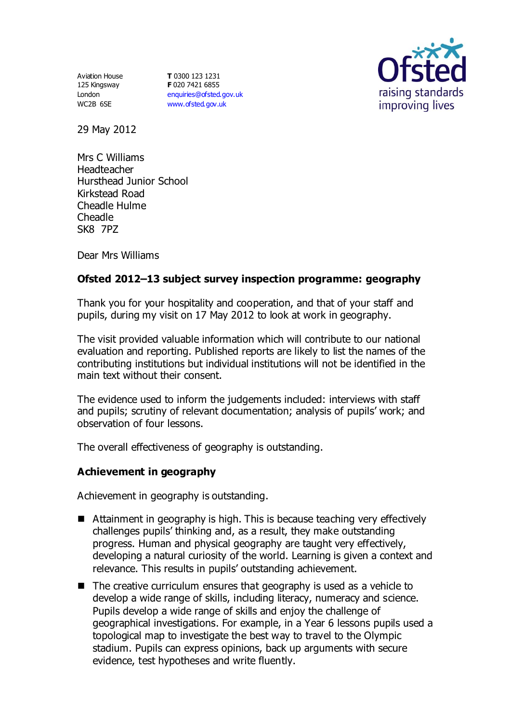Aviation House 125 Kingsway London WC2B 6SE

**T** 0300 123 1231 **F** 020 7421 6855 [enquiries@ofsted.gov.uk](mailto:enquiries@ofsted.gov.uk) [www.ofsted.gov.uk](http://www.ofsted.gov.uk/)



29 May 2012

Mrs C Williams Headteacher Hursthead Junior School Kirkstead Road Cheadle Hulme Cheadle SK8 7PZ

Dear Mrs Williams

## **Ofsted 2012–13 subject survey inspection programme: geography**

Thank you for your hospitality and cooperation, and that of your staff and pupils, during my visit on 17 May 2012 to look at work in geography.

The visit provided valuable information which will contribute to our national evaluation and reporting. Published reports are likely to list the names of the contributing institutions but individual institutions will not be identified in the main text without their consent.

The evidence used to inform the judgements included: interviews with staff and pupils; scrutiny of relevant documentation; analysis of pupils' work; and observation of four lessons.

The overall effectiveness of geography is outstanding.

### **Achievement in geography**

Achievement in geography is outstanding.

- Attainment in geography is high. This is because teaching very effectively challenges pupils' thinking and, as a result, they make outstanding progress. Human and physical geography are taught very effectively, developing a natural curiosity of the world. Learning is given a context and relevance. This results in pupils' outstanding achievement.
- $\blacksquare$  The creative curriculum ensures that geography is used as a vehicle to develop a wide range of skills, including literacy, numeracy and science. Pupils develop a wide range of skills and enjoy the challenge of geographical investigations. For example, in a Year 6 lessons pupils used a topological map to investigate the best way to travel to the Olympic stadium. Pupils can express opinions, back up arguments with secure evidence, test hypotheses and write fluently.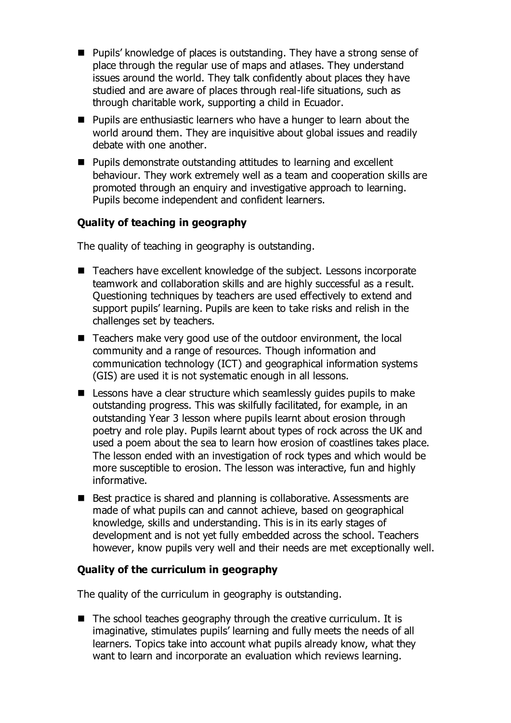- Pupils' knowledge of places is outstanding. They have a strong sense of place through the regular use of maps and atlases. They understand issues around the world. They talk confidently about places they have studied and are aware of places through real-life situations, such as through charitable work, supporting a child in Ecuador.
- Pupils are enthusiastic learners who have a hunger to learn about the world around them. They are inquisitive about global issues and readily debate with one another.
- Pupils demonstrate outstanding attitudes to learning and excellent behaviour. They work extremely well as a team and cooperation skills are promoted through an enquiry and investigative approach to learning. Pupils become independent and confident learners.

# **Quality of teaching in geography**

The quality of teaching in geography is outstanding.

- Teachers have excellent knowledge of the subject. Lessons incorporate teamwork and collaboration skills and are highly successful as a result. Questioning techniques by teachers are used effectively to extend and support pupils' learning. Pupils are keen to take risks and relish in the challenges set by teachers.
- Teachers make very good use of the outdoor environment, the local community and a range of resources. Though information and communication technology (ICT) and geographical information systems (GIS) are used it is not systematic enough in all lessons.
- **E** Lessons have a clear structure which seamlessly guides pupils to make outstanding progress. This was skilfully facilitated, for example, in an outstanding Year 3 lesson where pupils learnt about erosion through poetry and role play. Pupils learnt about types of rock across the UK and used a poem about the sea to learn how erosion of coastlines takes place. The lesson ended with an investigation of rock types and which would be more susceptible to erosion. The lesson was interactive, fun and highly informative.
- Best practice is shared and planning is collaborative. Assessments are made of what pupils can and cannot achieve, based on geographical knowledge, skills and understanding. This is in its early stages of development and is not yet fully embedded across the school. Teachers however, know pupils very well and their needs are met exceptionally well.

### **Quality of the curriculum in geography**

The quality of the curriculum in geography is outstanding.

 $\blacksquare$  The school teaches geography through the creative curriculum. It is imaginative, stimulates pupils' learning and fully meets the needs of all learners. Topics take into account what pupils already know, what they want to learn and incorporate an evaluation which reviews learning.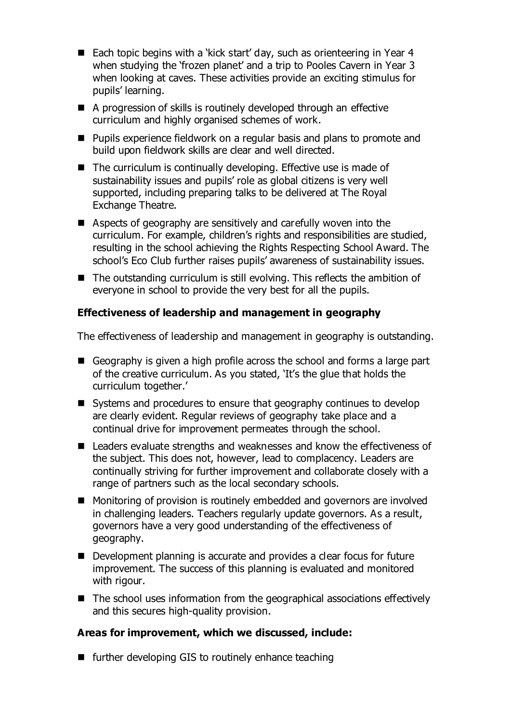- Each topic begins with a 'kick start' day, such as orienteering in Year 4 when studying the 'frozen planet' and a trip to Pooles Cavern in Year 3 when looking at caves. These activities provide an exciting stimulus for pupils' learning.
- A progression of skills is routinely developed through an effective curriculum and highly organised schemes of work.
- Pupils experience fieldwork on a regular basis and plans to promote and build upon fieldwork skills are clear and well directed.
- The curriculum is continually developing. Effective use is made of sustainability issues and pupils' role as global citizens is very well supported, including preparing talks to be delivered at The Royal Exchange Theatre.
- Aspects of geography are sensitively and carefully woven into the curriculum. For example, children's rights and responsibilities are studied, resulting in the school achieving the Rights Respecting School Award. The school's Eco Club further raises pupils' awareness of sustainability issues.
- The outstanding curriculum is still evolving. This reflects the ambition of everyone in school to provide the very best for all the pupils.

# **Effectiveness of leadership and management in geography**

The effectiveness of leadership and management in geography is outstanding.

- Geography is given a high profile across the school and forms a large part of the creative curriculum. As you stated, 'It's the glue that holds the curriculum together.'
- Systems and procedures to ensure that geography continues to develop are clearly evident. Regular reviews of geography take place and a continual drive for improvement permeates through the school.
- Leaders evaluate strengths and weaknesses and know the effectiveness of the subject. This does not, however, lead to complacency. Leaders are continually striving for further improvement and collaborate closely with a range of partners such as the local secondary schools.
- Monitoring of provision is routinely embedded and governors are involved in challenging leaders. Teachers regularly update governors. As a result, governors have a very good understanding of the effectiveness of geography.
- Development planning is accurate and provides a clear focus for future improvement. The success of this planning is evaluated and monitored with rigour.
- The school uses information from the geographical associations effectively and this secures high-quality provision.

### **Areas for improvement, which we discussed, include:**

 $\blacksquare$  further developing GIS to routinely enhance teaching